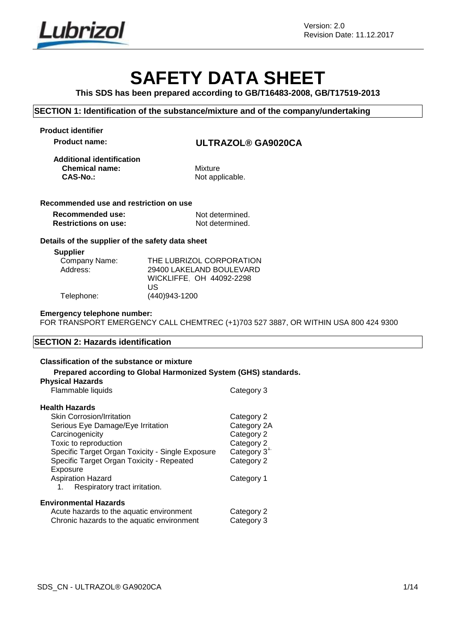

# **SAFETY DATA SHEET**

**This SDS has been prepared according to GB/T16483-2008, GB/T17519-2013**

### **SECTION 1: Identification of the substance/mixture and of the company/undertaking**

**Product identifier**

**Product name: ULTRAZOL® GA9020CA**

**Additional identification Chemical name:** Mixture **CAS-No.: Mixture CAS-No.:** 

Not applicable.

### **Recommended use and restriction on use**

| Recommended use:            | Not determined. |
|-----------------------------|-----------------|
| <b>Restrictions on use:</b> | Not determined. |

### **Details of the supplier of the safety data sheet**

**Supplier**

| Company Name: | THE LUBRIZOL CORPORATION |
|---------------|--------------------------|
| Address:      | 29400 LAKELAND BOULEVARD |
|               | WICKLIFFE. OH 44092-2298 |
|               | US                       |
| Telephone:    | (440)943-1200            |

#### **Emergency telephone number:**

FOR TRANSPORT EMERGENCY CALL CHEMTREC (+1)703 527 3887, OR WITHIN USA 800 424 9300

### **SECTION 2: Hazards identification**

### **Classification of the substance or mixture**

### **Prepared according to Global Harmonized System (GHS) standards.**

| <b>Physical Hazards</b>                          |             |
|--------------------------------------------------|-------------|
| Flammable liquids                                | Category 3  |
| <b>Health Hazards</b>                            |             |
| <b>Skin Corrosion/Irritation</b>                 | Category 2  |
| Serious Eye Damage/Eye Irritation                | Category 2A |
| Carcinogenicity                                  | Category 2  |
| Toxic to reproduction                            | Category 2  |
| Specific Target Organ Toxicity - Single Exposure | Category 3" |
| Specific Target Organ Toxicity - Repeated        | Category 2  |
| Exposure                                         |             |
| <b>Aspiration Hazard</b>                         | Category 1  |
| Respiratory tract irritation.<br>1.              |             |
| <b>Environmental Hazards</b>                     |             |
| Acute hazards to the aquatic environment         | Category 2  |
| Chronic hazards to the aquatic environment       | Category 3  |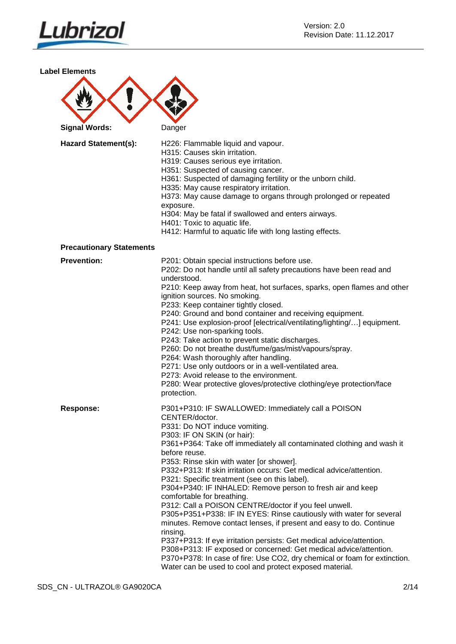

**Label Elements**

| <b>Signal Words:</b>        | Danger                                                              |
|-----------------------------|---------------------------------------------------------------------|
| <b>Hazard Statement(s):</b> | H226: Flammable liquid and vapour.<br>H315: Causes skin irritation. |

s skin irritation. H319: Causes serious eye irritation.

H351: Suspected of causing cancer.

H361: Suspected of damaging fertility or the unborn child.

H335: May cause respiratory irritation.

H373: May cause damage to organs through prolonged or repeated exposure.

H304: May be fatal if swallowed and enters airways.

H401: Toxic to aquatic life.

H412: Harmful to aquatic life with long lasting effects.

#### **Precautionary Statements**

| <b>Prevention:</b> | P201: Obtain special instructions before use.<br>P202: Do not handle until all safety precautions have been read and<br>understood.<br>P210: Keep away from heat, hot surfaces, sparks, open flames and other<br>ignition sources. No smoking.<br>P233: Keep container tightly closed.<br>P240: Ground and bond container and receiving equipment.<br>P241: Use explosion-proof [electrical/ventilating/lighting/] equipment.<br>P242: Use non-sparking tools.<br>P243: Take action to prevent static discharges.<br>P260: Do not breathe dust/fume/gas/mist/vapours/spray.<br>P264: Wash thoroughly after handling.<br>P271: Use only outdoors or in a well-ventilated area.<br>P273: Avoid release to the environment.<br>P280: Wear protective gloves/protective clothing/eye protection/face<br>protection.                                                                                                                                                                                        |
|--------------------|--------------------------------------------------------------------------------------------------------------------------------------------------------------------------------------------------------------------------------------------------------------------------------------------------------------------------------------------------------------------------------------------------------------------------------------------------------------------------------------------------------------------------------------------------------------------------------------------------------------------------------------------------------------------------------------------------------------------------------------------------------------------------------------------------------------------------------------------------------------------------------------------------------------------------------------------------------------------------------------------------------|
| <b>Response:</b>   | P301+P310: IF SWALLOWED: Immediately call a POISON<br>CENTER/doctor.<br>P331: Do NOT induce vomiting.<br>P303: IF ON SKIN (or hair):<br>P361+P364: Take off immediately all contaminated clothing and wash it<br>before reuse.<br>P353: Rinse skin with water [or shower].<br>P332+P313: If skin irritation occurs: Get medical advice/attention.<br>P321: Specific treatment (see on this label).<br>P304+P340: IF INHALED: Remove person to fresh air and keep<br>comfortable for breathing.<br>P312: Call a POISON CENTRE/doctor if you feel unwell.<br>P305+P351+P338: IF IN EYES: Rinse cautiously with water for several<br>minutes. Remove contact lenses, if present and easy to do. Continue<br>rinsing.<br>P337+P313: If eye irritation persists: Get medical advice/attention.<br>P308+P313: IF exposed or concerned: Get medical advice/attention.<br>P370+P378: In case of fire: Use CO2, dry chemical or foam for extinction.<br>Water can be used to cool and protect exposed material. |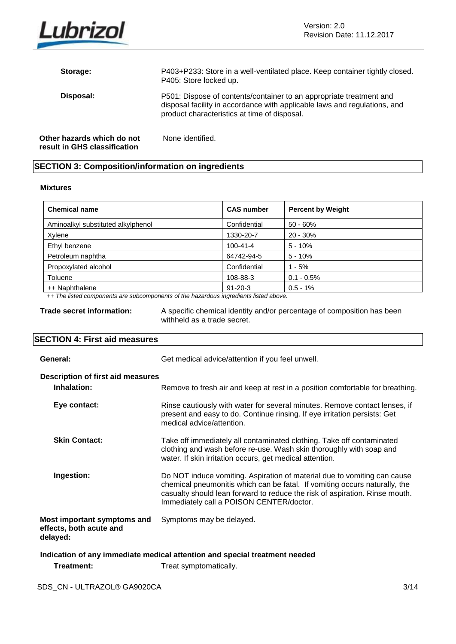

| Storage:                                                   | P403+P233: Store in a well-ventilated place. Keep container tightly closed.<br>P405: Store locked up.                                                                                            |
|------------------------------------------------------------|--------------------------------------------------------------------------------------------------------------------------------------------------------------------------------------------------|
| Disposal:                                                  | P501: Dispose of contents/container to an appropriate treatment and<br>disposal facility in accordance with applicable laws and regulations, and<br>product characteristics at time of disposal. |
| Other hazards which do not<br>result in GHS classification | None identified.                                                                                                                                                                                 |

### **SECTION 3: Composition/information on ingredients**

### **Mixtures**

| <b>Chemical name</b>               | <b>CAS number</b> | <b>Percent by Weight</b> |
|------------------------------------|-------------------|--------------------------|
| Aminoalkyl substituted alkylphenol | Confidential      | $50 - 60%$               |
| Xylene                             | 1330-20-7         | $20 - 30%$               |
| Ethyl benzene                      | $100 - 41 - 4$    | $5 - 10%$                |
| Petroleum naphtha                  | 64742-94-5        | $5 - 10%$                |
| Propoxylated alcohol               | Confidential      | $1 - 5%$                 |
| Toluene                            | 108-88-3          | $0.1 - 0.5\%$            |
| ++ Naphthalene                     | $91 - 20 - 3$     | $0.5 - 1%$               |

*++ The listed components are subcomponents of the hazardous ingredients listed above.*

**Trade secret information:** A specific chemical identity and/or percentage of composition has been withheld as a trade secret.

### **SECTION 4: First aid measures**

| General:                                                                   | Get medical advice/attention if you feel unwell.                                                                                                                                                                                                                                  |  |
|----------------------------------------------------------------------------|-----------------------------------------------------------------------------------------------------------------------------------------------------------------------------------------------------------------------------------------------------------------------------------|--|
| <b>Description of first aid measures</b><br>Inhalation:                    | Remove to fresh air and keep at rest in a position comfortable for breathing.                                                                                                                                                                                                     |  |
| Eye contact:                                                               | Rinse cautiously with water for several minutes. Remove contact lenses, if<br>present and easy to do. Continue rinsing. If eye irritation persists: Get<br>medical advice/attention.                                                                                              |  |
| <b>Skin Contact:</b>                                                       | Take off immediately all contaminated clothing. Take off contaminated<br>clothing and wash before re-use. Wash skin thoroughly with soap and<br>water. If skin irritation occurs, get medical attention.                                                                          |  |
| Ingestion:                                                                 | Do NOT induce vomiting. Aspiration of material due to vomiting can cause<br>chemical pneumonitis which can be fatal. If vomiting occurs naturally, the<br>casualty should lean forward to reduce the risk of aspiration. Rinse mouth.<br>Immediately call a POISON CENTER/doctor. |  |
| Most important symptoms and<br>effects, both acute and<br>delayed:         | Symptoms may be delayed.                                                                                                                                                                                                                                                          |  |
| Indication of any immediate medical ettertion and enecial treatment needed |                                                                                                                                                                                                                                                                                   |  |

**Indication of any immediate medical attention and special treatment needed**

**Treatment:** Treat symptomatically.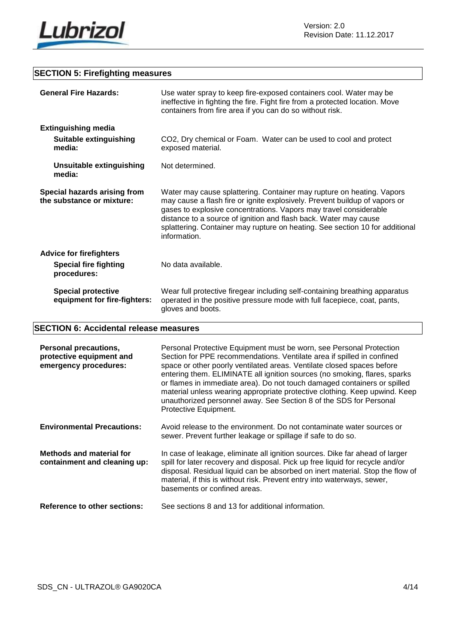

### **SECTION 5: Firefighting measures**

|                                                           | <b>General Fire Hazards:</b>                                                  | Use water spray to keep fire-exposed containers cool. Water may be<br>ineffective in fighting the fire. Fight fire from a protected location. Move<br>containers from fire area if you can do so without risk.                                                                                                                                                                               |
|-----------------------------------------------------------|-------------------------------------------------------------------------------|----------------------------------------------------------------------------------------------------------------------------------------------------------------------------------------------------------------------------------------------------------------------------------------------------------------------------------------------------------------------------------------------|
|                                                           | <b>Extinguishing media</b>                                                    |                                                                                                                                                                                                                                                                                                                                                                                              |
|                                                           | <b>Suitable extinguishing</b><br>media:                                       | CO2, Dry chemical or Foam. Water can be used to cool and protect<br>exposed material.                                                                                                                                                                                                                                                                                                        |
|                                                           | <b>Unsuitable extinguishing</b><br>media:                                     | Not determined.                                                                                                                                                                                                                                                                                                                                                                              |
| Special hazards arising from<br>the substance or mixture: |                                                                               | Water may cause splattering. Container may rupture on heating. Vapors<br>may cause a flash fire or ignite explosively. Prevent buildup of vapors or<br>gases to explosive concentrations. Vapors may travel considerable<br>distance to a source of ignition and flash back. Water may cause<br>splattering. Container may rupture on heating. See section 10 for additional<br>information. |
|                                                           | <b>Advice for firefighters</b><br><b>Special fire fighting</b><br>procedures: | No data available.                                                                                                                                                                                                                                                                                                                                                                           |
|                                                           | <b>Special protective</b><br>equipment for fire-fighters:                     | Wear full protective firegear including self-containing breathing apparatus<br>operated in the positive pressure mode with full facepiece, coat, pants,<br>gloves and boots.                                                                                                                                                                                                                 |

### **SECTION 6: Accidental release measures**

| <b>Personal precautions,</b><br>protective equipment and<br>emergency procedures: | Personal Protective Equipment must be worn, see Personal Protection<br>Section for PPE recommendations. Ventilate area if spilled in confined<br>space or other poorly ventilated areas. Ventilate closed spaces before<br>entering them. ELIMINATE all ignition sources (no smoking, flares, sparks<br>or flames in immediate area). Do not touch damaged containers or spilled<br>material unless wearing appropriate protective clothing. Keep upwind. Keep<br>unauthorized personnel away. See Section 8 of the SDS for Personal<br>Protective Equipment. |
|-----------------------------------------------------------------------------------|---------------------------------------------------------------------------------------------------------------------------------------------------------------------------------------------------------------------------------------------------------------------------------------------------------------------------------------------------------------------------------------------------------------------------------------------------------------------------------------------------------------------------------------------------------------|
| <b>Environmental Precautions:</b>                                                 | Avoid release to the environment. Do not contaminate water sources or<br>sewer. Prevent further leakage or spillage if safe to do so.                                                                                                                                                                                                                                                                                                                                                                                                                         |
| <b>Methods and material for</b><br>containment and cleaning up:                   | In case of leakage, eliminate all ignition sources. Dike far ahead of larger<br>spill for later recovery and disposal. Pick up free liquid for recycle and/or<br>disposal. Residual liquid can be absorbed on inert material. Stop the flow of<br>material, if this is without risk. Prevent entry into waterways, sewer,<br>basements or confined areas.                                                                                                                                                                                                     |
| <b>Reference to other sections:</b>                                               | See sections 8 and 13 for additional information.                                                                                                                                                                                                                                                                                                                                                                                                                                                                                                             |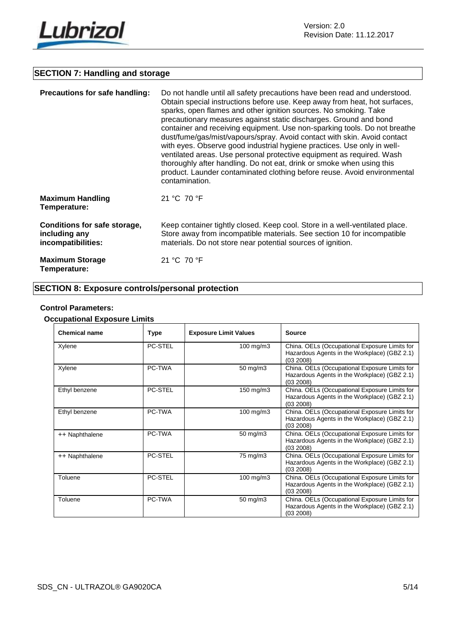

### **SECTION 7: Handling and storage**

| <b>Precautions for safe handling:</b>                               | Do not handle until all safety precautions have been read and understood.<br>Obtain special instructions before use. Keep away from heat, hot surfaces,<br>sparks, open flames and other ignition sources. No smoking. Take<br>precautionary measures against static discharges. Ground and bond<br>container and receiving equipment. Use non-sparking tools. Do not breathe<br>dust/fume/gas/mist/vapours/spray. Avoid contact with skin. Avoid contact<br>with eyes. Observe good industrial hygiene practices. Use only in well-<br>ventilated areas. Use personal protective equipment as required. Wash<br>thoroughly after handling. Do not eat, drink or smoke when using this<br>product. Launder contaminated clothing before reuse. Avoid environmental<br>contamination. |
|---------------------------------------------------------------------|--------------------------------------------------------------------------------------------------------------------------------------------------------------------------------------------------------------------------------------------------------------------------------------------------------------------------------------------------------------------------------------------------------------------------------------------------------------------------------------------------------------------------------------------------------------------------------------------------------------------------------------------------------------------------------------------------------------------------------------------------------------------------------------|
| <b>Maximum Handling</b><br>Temperature:                             | 21 °C 70 °F                                                                                                                                                                                                                                                                                                                                                                                                                                                                                                                                                                                                                                                                                                                                                                          |
| Conditions for safe storage,<br>including any<br>incompatibilities: | Keep container tightly closed. Keep cool. Store in a well-ventilated place.<br>Store away from incompatible materials. See section 10 for incompatible<br>materials. Do not store near potential sources of ignition.                                                                                                                                                                                                                                                                                                                                                                                                                                                                                                                                                                |
| <b>Maximum Storage</b><br>Temperature:                              | 21 °C 70 °F                                                                                                                                                                                                                                                                                                                                                                                                                                                                                                                                                                                                                                                                                                                                                                          |

### **SECTION 8: Exposure controls/personal protection**

### **Control Parameters:**

### **Occupational Exposure Limits**

| <b>Chemical name</b> | Type    | <b>Exposure Limit Values</b> | <b>Source</b>                                                                                              |
|----------------------|---------|------------------------------|------------------------------------------------------------------------------------------------------------|
| Xylene               | PC-STEL | 100 mg/m3                    | China. OELs (Occupational Exposure Limits for<br>Hazardous Agents in the Workplace) (GBZ 2.1)<br>(03 2008) |
| Xylene               | PC-TWA  | 50 mg/m3                     | China. OELs (Occupational Exposure Limits for<br>Hazardous Agents in the Workplace) (GBZ 2.1)<br>(03 2008) |
| Ethyl benzene        | PC-STEL | 150 mg/m3                    | China. OELs (Occupational Exposure Limits for<br>Hazardous Agents in the Workplace) (GBZ 2.1)<br>(03 2008) |
| Ethyl benzene        | PC-TWA  | 100 mg/m3                    | China. OELs (Occupational Exposure Limits for<br>Hazardous Agents in the Workplace) (GBZ 2.1)<br>(03 2008) |
| ++ Naphthalene       | PC-TWA  | 50 mg/m3                     | China. OELs (Occupational Exposure Limits for<br>Hazardous Agents in the Workplace) (GBZ 2.1)<br>(03 2008) |
| ++ Naphthalene       | PC-STEL | 75 mg/m3                     | China. OELs (Occupational Exposure Limits for<br>Hazardous Agents in the Workplace) (GBZ 2.1)<br>(03 2008) |
| Toluene              | PC-STEL | 100 mg/m3                    | China. OELs (Occupational Exposure Limits for<br>Hazardous Agents in the Workplace) (GBZ 2.1)<br>(03 2008) |
| Toluene              | PC-TWA  | $50 \text{ mg/m}$ 3          | China. OELs (Occupational Exposure Limits for<br>Hazardous Agents in the Workplace) (GBZ 2.1)<br>(03 2008) |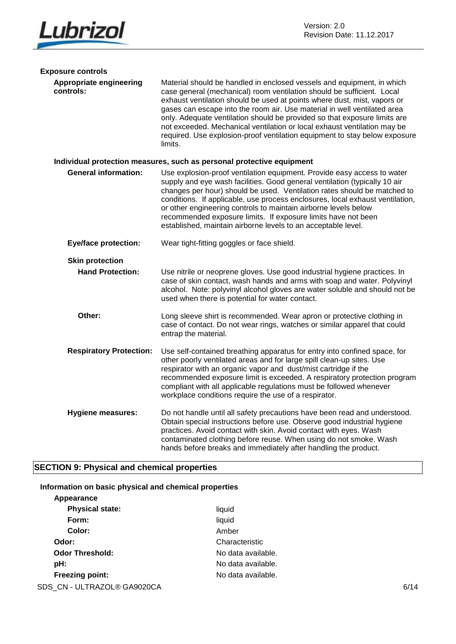

| <b>Exposure controls</b>             |                                                                                                                                                                                                                                                                                                                                                                                                                                                                                                                                                            |
|--------------------------------------|------------------------------------------------------------------------------------------------------------------------------------------------------------------------------------------------------------------------------------------------------------------------------------------------------------------------------------------------------------------------------------------------------------------------------------------------------------------------------------------------------------------------------------------------------------|
| Appropriate engineering<br>controls: | Material should be handled in enclosed vessels and equipment, in which<br>case general (mechanical) room ventilation should be sufficient. Local<br>exhaust ventilation should be used at points where dust, mist, vapors or<br>gases can escape into the room air. Use material in well ventilated area<br>only. Adequate ventilation should be provided so that exposure limits are<br>not exceeded. Mechanical ventilation or local exhaust ventilation may be<br>required. Use explosion-proof ventilation equipment to stay below exposure<br>limits. |
|                                      | Individual protection measures, such as personal protective equipment                                                                                                                                                                                                                                                                                                                                                                                                                                                                                      |
| <b>General information:</b>          | Use explosion-proof ventilation equipment. Provide easy access to water<br>supply and eye wash facilities. Good general ventilation (typically 10 air<br>changes per hour) should be used. Ventilation rates should be matched to<br>conditions. If applicable, use process enclosures, local exhaust ventilation,<br>or other engineering controls to maintain airborne levels below<br>recommended exposure limits. If exposure limits have not been<br>established, maintain airborne levels to an acceptable level.                                    |
| <b>Eye/face protection:</b>          | Wear tight-fitting goggles or face shield.                                                                                                                                                                                                                                                                                                                                                                                                                                                                                                                 |
| <b>Skin protection</b>               |                                                                                                                                                                                                                                                                                                                                                                                                                                                                                                                                                            |
| <b>Hand Protection:</b>              | Use nitrile or neoprene gloves. Use good industrial hygiene practices. In<br>case of skin contact, wash hands and arms with soap and water. Polyvinyl<br>alcohol. Note: polyvinyl alcohol gloves are water soluble and should not be<br>used when there is potential for water contact.                                                                                                                                                                                                                                                                    |
| Other:                               | Long sleeve shirt is recommended. Wear apron or protective clothing in<br>case of contact. Do not wear rings, watches or similar apparel that could<br>entrap the material.                                                                                                                                                                                                                                                                                                                                                                                |
| <b>Respiratory Protection:</b>       | Use self-contained breathing apparatus for entry into confined space, for<br>other poorly ventilated areas and for large spill clean-up sites. Use<br>respirator with an organic vapor and dust/mist cartridge if the<br>recommended exposure limit is exceeded. A respiratory protection program<br>compliant with all applicable regulations must be followed whenever<br>workplace conditions require the use of a respirator.                                                                                                                          |
| <b>Hygiene measures:</b>             | Do not handle until all safety precautions have been read and understood.<br>Obtain special instructions before use. Observe good industrial hygiene<br>practices. Avoid contact with skin. Avoid contact with eyes. Wash<br>contaminated clothing before reuse. When using do not smoke. Wash<br>hands before breaks and immediately after handling the product.                                                                                                                                                                                          |

## **SECTION 9: Physical and chemical properties**

### **Information on basic physical and chemical properties**

| Appearance                  |                    |      |
|-----------------------------|--------------------|------|
| <b>Physical state:</b>      | liquid             |      |
| Form:                       | liquid             |      |
| Color:                      | Amber              |      |
| Odor:                       | Characteristic     |      |
| <b>Odor Threshold:</b>      | No data available. |      |
| pH:                         | No data available. |      |
| <b>Freezing point:</b>      | No data available. |      |
| SDS_CN - ULTRAZOL® GA9020CA |                    | 6/14 |
|                             |                    |      |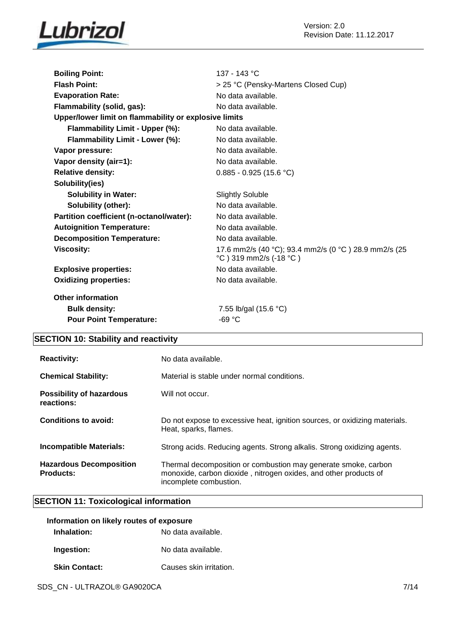

| <b>Boiling Point:</b>                                 | 137 - 143 °C                                                                   |  |
|-------------------------------------------------------|--------------------------------------------------------------------------------|--|
| <b>Flash Point:</b>                                   | > 25 °C (Pensky-Martens Closed Cup)                                            |  |
| <b>Evaporation Rate:</b>                              | No data available.                                                             |  |
| Flammability (solid, gas):                            | No data available.                                                             |  |
| Upper/lower limit on flammability or explosive limits |                                                                                |  |
| Flammability Limit - Upper (%):                       | No data available.                                                             |  |
| Flammability Limit - Lower (%):                       | No data available.                                                             |  |
| Vapor pressure:                                       | No data available.                                                             |  |
| Vapor density (air=1):                                | No data available.                                                             |  |
| <b>Relative density:</b>                              | $0.885 - 0.925$ (15.6 °C)                                                      |  |
| Solubility(ies)                                       |                                                                                |  |
| <b>Solubility in Water:</b>                           | <b>Slightly Soluble</b>                                                        |  |
| Solubility (other):                                   | No data available.                                                             |  |
| Partition coefficient (n-octanol/water):              | No data available.                                                             |  |
| <b>Autoignition Temperature:</b>                      | No data available.                                                             |  |
| <b>Decomposition Temperature:</b>                     | No data available.                                                             |  |
| <b>Viscosity:</b>                                     | 17.6 mm2/s (40 °C); 93.4 mm2/s (0 °C) 28.9 mm2/s (25<br>°C) 319 mm2/s (-18 °C) |  |
| <b>Explosive properties:</b>                          | No data available.                                                             |  |
| <b>Oxidizing properties:</b>                          | No data available.                                                             |  |
| <b>Other information</b>                              |                                                                                |  |
| <b>Bulk density:</b>                                  | 7.55 lb/gal (15.6 °C)                                                          |  |
| <b>Pour Point Temperature:</b>                        | $-69 °C$                                                                       |  |

### **SECTION 10: Stability and reactivity**

| <b>Reactivity:</b>                                 | No data available.                                                                                                                                           |
|----------------------------------------------------|--------------------------------------------------------------------------------------------------------------------------------------------------------------|
| <b>Chemical Stability:</b>                         | Material is stable under normal conditions.                                                                                                                  |
| <b>Possibility of hazardous</b><br>reactions:      | Will not occur.                                                                                                                                              |
| Conditions to avoid:                               | Do not expose to excessive heat, ignition sources, or oxidizing materials.<br>Heat, sparks, flames.                                                          |
| <b>Incompatible Materials:</b>                     | Strong acids. Reducing agents. Strong alkalis. Strong oxidizing agents.                                                                                      |
| <b>Hazardous Decomposition</b><br><b>Products:</b> | Thermal decomposition or combustion may generate smoke, carbon<br>monoxide, carbon dioxide, nitrogen oxides, and other products of<br>incomplete combustion. |

### **SECTION 11: Toxicological information**

| Information on likely routes of exposure |                         |
|------------------------------------------|-------------------------|
| Inhalation:                              | No data available.      |
| Ingestion:                               | No data available.      |
| <b>Skin Contact:</b>                     | Causes skin irritation. |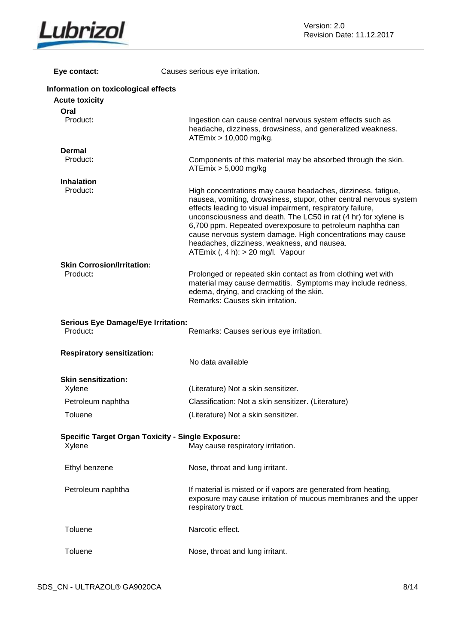

| Eye contact:                                          | Causes serious eye irritation.                                                                                                                                                                                                                                                                                                                                                                                                                                                        |
|-------------------------------------------------------|---------------------------------------------------------------------------------------------------------------------------------------------------------------------------------------------------------------------------------------------------------------------------------------------------------------------------------------------------------------------------------------------------------------------------------------------------------------------------------------|
| Information on toxicological effects                  |                                                                                                                                                                                                                                                                                                                                                                                                                                                                                       |
| <b>Acute toxicity</b>                                 |                                                                                                                                                                                                                                                                                                                                                                                                                                                                                       |
| Oral                                                  |                                                                                                                                                                                                                                                                                                                                                                                                                                                                                       |
| Product:                                              | Ingestion can cause central nervous system effects such as<br>headache, dizziness, drowsiness, and generalized weakness.<br>ATEmix > 10,000 mg/kg.                                                                                                                                                                                                                                                                                                                                    |
| <b>Dermal</b>                                         |                                                                                                                                                                                                                                                                                                                                                                                                                                                                                       |
| Product:                                              | Components of this material may be absorbed through the skin.<br>$ATEmix > 5,000$ mg/kg                                                                                                                                                                                                                                                                                                                                                                                               |
| <b>Inhalation</b>                                     |                                                                                                                                                                                                                                                                                                                                                                                                                                                                                       |
| Product:                                              | High concentrations may cause headaches, dizziness, fatigue,<br>nausea, vomiting, drowsiness, stupor, other central nervous system<br>effects leading to visual impairment, respiratory failure,<br>unconsciousness and death. The LC50 in rat (4 hr) for xylene is<br>6,700 ppm. Repeated overexposure to petroleum naphtha can<br>cause nervous system damage. High concentrations may cause<br>headaches, dizziness, weakness, and nausea.<br>ATEmix $($ , 4 h): > 20 mg/l. Vapour |
| <b>Skin Corrosion/Irritation:</b>                     |                                                                                                                                                                                                                                                                                                                                                                                                                                                                                       |
| Product:                                              | Prolonged or repeated skin contact as from clothing wet with<br>material may cause dermatitis. Symptoms may include redness,<br>edema, drying, and cracking of the skin.<br>Remarks: Causes skin irritation.                                                                                                                                                                                                                                                                          |
| <b>Serious Eye Damage/Eye Irritation:</b><br>Product: | Remarks: Causes serious eye irritation.                                                                                                                                                                                                                                                                                                                                                                                                                                               |
|                                                       |                                                                                                                                                                                                                                                                                                                                                                                                                                                                                       |
| <b>Respiratory sensitization:</b>                     |                                                                                                                                                                                                                                                                                                                                                                                                                                                                                       |
|                                                       | No data available                                                                                                                                                                                                                                                                                                                                                                                                                                                                     |
| <b>Skin sensitization:</b>                            |                                                                                                                                                                                                                                                                                                                                                                                                                                                                                       |
| Xylene                                                | (Literature) Not a skin sensitizer.                                                                                                                                                                                                                                                                                                                                                                                                                                                   |
| Petroleum naphtha                                     | Classification: Not a skin sensitizer. (Literature)                                                                                                                                                                                                                                                                                                                                                                                                                                   |
| Toluene                                               | (Literature) Not a skin sensitizer.                                                                                                                                                                                                                                                                                                                                                                                                                                                   |
|                                                       |                                                                                                                                                                                                                                                                                                                                                                                                                                                                                       |
|                                                       | <b>Specific Target Organ Toxicity - Single Exposure:</b>                                                                                                                                                                                                                                                                                                                                                                                                                              |
| Xylene                                                | May cause respiratory irritation.                                                                                                                                                                                                                                                                                                                                                                                                                                                     |
| Ethyl benzene                                         | Nose, throat and lung irritant.                                                                                                                                                                                                                                                                                                                                                                                                                                                       |
| Petroleum naphtha                                     | If material is misted or if vapors are generated from heating,<br>exposure may cause irritation of mucous membranes and the upper<br>respiratory tract.                                                                                                                                                                                                                                                                                                                               |
| Toluene                                               | Narcotic effect.                                                                                                                                                                                                                                                                                                                                                                                                                                                                      |
| Toluene                                               | Nose, throat and lung irritant.                                                                                                                                                                                                                                                                                                                                                                                                                                                       |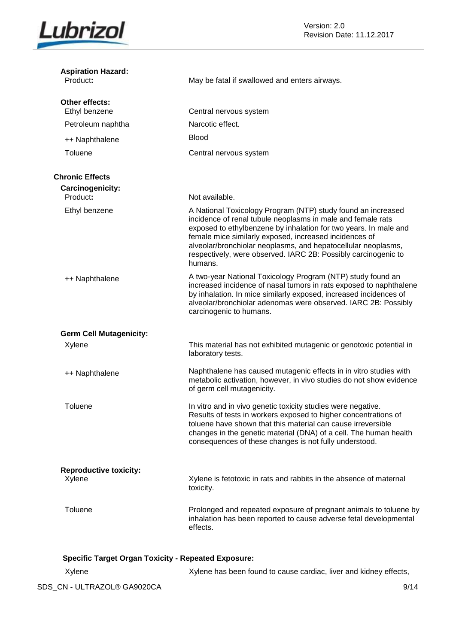

| <b>Aspiration Hazard:</b><br>Product:                      | May be fatal if swallowed and enters airways.                                                                                                                                                                                                                                                                                                                                                           |
|------------------------------------------------------------|---------------------------------------------------------------------------------------------------------------------------------------------------------------------------------------------------------------------------------------------------------------------------------------------------------------------------------------------------------------------------------------------------------|
| Other effects:<br>Ethyl benzene                            | Central nervous system                                                                                                                                                                                                                                                                                                                                                                                  |
| Petroleum naphtha                                          | Narcotic effect.                                                                                                                                                                                                                                                                                                                                                                                        |
| ++ Naphthalene                                             | <b>Blood</b>                                                                                                                                                                                                                                                                                                                                                                                            |
| Toluene                                                    | Central nervous system                                                                                                                                                                                                                                                                                                                                                                                  |
| <b>Chronic Effects</b>                                     |                                                                                                                                                                                                                                                                                                                                                                                                         |
| Carcinogenicity:<br>Product:                               | Not available.                                                                                                                                                                                                                                                                                                                                                                                          |
| Ethyl benzene                                              | A National Toxicology Program (NTP) study found an increased<br>incidence of renal tubule neoplasms in male and female rats<br>exposed to ethylbenzene by inhalation for two years. In male and<br>female mice similarly exposed, increased incidences of<br>alveolar/bronchiolar neoplasms, and hepatocellular neoplasms,<br>respectively, were observed. IARC 2B: Possibly carcinogenic to<br>humans. |
| ++ Naphthalene                                             | A two-year National Toxicology Program (NTP) study found an<br>increased incidence of nasal tumors in rats exposed to naphthalene<br>by inhalation. In mice similarly exposed, increased incidences of<br>alveolar/bronchiolar adenomas were observed. IARC 2B: Possibly<br>carcinogenic to humans.                                                                                                     |
| <b>Germ Cell Mutagenicity:</b>                             |                                                                                                                                                                                                                                                                                                                                                                                                         |
| Xylene                                                     | This material has not exhibited mutagenic or genotoxic potential in<br>laboratory tests.                                                                                                                                                                                                                                                                                                                |
| ++ Naphthalene                                             | Naphthalene has caused mutagenic effects in in vitro studies with<br>metabolic activation, however, in vivo studies do not show evidence<br>of germ cell mutagenicity.                                                                                                                                                                                                                                  |
| Toluene                                                    | In vitro and in vivo genetic toxicity studies were negative.<br>Results of tests in workers exposed to higher concentrations of<br>toluene have shown that this material can cause irreversible<br>changes in the genetic material (DNA) of a cell. The human health<br>consequences of these changes is not fully understood.                                                                          |
| <b>Reproductive toxicity:</b>                              |                                                                                                                                                                                                                                                                                                                                                                                                         |
| Xylene                                                     | Xylene is fetotoxic in rats and rabbits in the absence of maternal<br>toxicity.                                                                                                                                                                                                                                                                                                                         |
| Toluene                                                    | Prolonged and repeated exposure of pregnant animals to toluene by<br>inhalation has been reported to cause adverse fetal developmental<br>effects.                                                                                                                                                                                                                                                      |
| <b>Specific Target Organ Toxicity - Repeated Exposure:</b> |                                                                                                                                                                                                                                                                                                                                                                                                         |
| Xylene                                                     | Xylene has been found to cause cardiac, liver and kidney effects,                                                                                                                                                                                                                                                                                                                                       |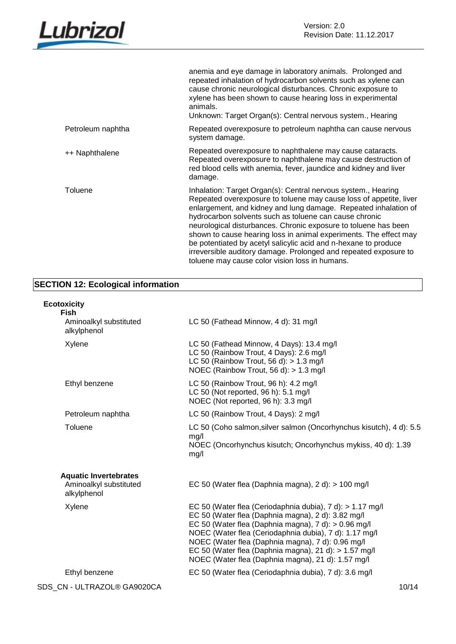

|                   | anemia and eye damage in laboratory animals. Prolonged and<br>repeated inhalation of hydrocarbon solvents such as xylene can<br>cause chronic neurological disturbances. Chronic exposure to<br>xylene has been shown to cause hearing loss in experimental<br>animals.<br>Unknown: Target Organ(s): Central nervous system., Hearing                                                                                                                                                                                                                                                             |
|-------------------|---------------------------------------------------------------------------------------------------------------------------------------------------------------------------------------------------------------------------------------------------------------------------------------------------------------------------------------------------------------------------------------------------------------------------------------------------------------------------------------------------------------------------------------------------------------------------------------------------|
| Petroleum naphtha | Repeated overexposure to petroleum naphtha can cause nervous<br>system damage.                                                                                                                                                                                                                                                                                                                                                                                                                                                                                                                    |
| ++ Naphthalene    | Repeated overexposure to naphthalene may cause cataracts.<br>Repeated overexposure to naphthalene may cause destruction of<br>red blood cells with anemia, fever, jaundice and kidney and liver<br>damage.                                                                                                                                                                                                                                                                                                                                                                                        |
| Toluene           | Inhalation: Target Organ(s): Central nervous system., Hearing<br>Repeated overexposure to toluene may cause loss of appetite, liver<br>enlargement, and kidney and lung damage. Repeated inhalation of<br>hydrocarbon solvents such as toluene can cause chronic<br>neurological disturbances. Chronic exposure to toluene has been<br>shown to cause hearing loss in animal experiments. The effect may<br>be potentiated by acetyl salicylic acid and n-hexane to produce<br>irreversible auditory damage. Prolonged and repeated exposure to<br>toluene may cause color vision loss in humans. |

### **SECTION 12: Ecological information**

### **Ecotoxicity**

| <b>Fish</b>                                                           |                                                                                                                                                                                                                                                                                                                                                                                                       |
|-----------------------------------------------------------------------|-------------------------------------------------------------------------------------------------------------------------------------------------------------------------------------------------------------------------------------------------------------------------------------------------------------------------------------------------------------------------------------------------------|
| Aminoalkyl substituted<br>alkylphenol                                 | LC 50 (Fathead Minnow, 4 d): 31 mg/l                                                                                                                                                                                                                                                                                                                                                                  |
| Xylene                                                                | LC 50 (Fathead Minnow, 4 Days): 13.4 mg/l<br>LC 50 (Rainbow Trout, 4 Days): 2.6 mg/l<br>LC 50 (Rainbow Trout, 56 d): $> 1.3$ mg/l<br>NOEC (Rainbow Trout, 56 d): > 1.3 mg/l                                                                                                                                                                                                                           |
| Ethyl benzene                                                         | LC 50 (Rainbow Trout, 96 h): 4.2 mg/l<br>LC 50 (Not reported, 96 h): 5.1 mg/l<br>NOEC (Not reported, 96 h): 3.3 mg/l                                                                                                                                                                                                                                                                                  |
| Petroleum naphtha                                                     | LC 50 (Rainbow Trout, 4 Days): 2 mg/l                                                                                                                                                                                                                                                                                                                                                                 |
| Toluene                                                               | LC 50 (Coho salmon, silver salmon (Oncorhynchus kisutch), 4 d): 5.5<br>mg/l<br>NOEC (Oncorhynchus kisutch; Oncorhynchus mykiss, 40 d): 1.39<br>mg/l                                                                                                                                                                                                                                                   |
| <b>Aquatic Invertebrates</b><br>Aminoalkyl substituted<br>alkylphenol | EC 50 (Water flea (Daphnia magna), 2 d): > 100 mg/l                                                                                                                                                                                                                                                                                                                                                   |
| Xylene                                                                | EC 50 (Water flea (Ceriodaphnia dubia), 7 d): > 1.17 mg/l<br>EC 50 (Water flea (Daphnia magna), 2 d): 3.82 mg/l<br>EC 50 (Water flea (Daphnia magna), 7 d): > 0.96 mg/l<br>NOEC (Water flea (Ceriodaphnia dubia), 7 d): 1.17 mg/l<br>NOEC (Water flea (Daphnia magna), 7 d): 0.96 mg/l<br>EC 50 (Water flea (Daphnia magna), 21 d): > 1.57 mg/l<br>NOEC (Water flea (Daphnia magna), 21 d): 1.57 mg/l |
| Ethyl benzene                                                         | EC 50 (Water flea (Ceriodaphnia dubia), 7 d): 3.6 mg/l                                                                                                                                                                                                                                                                                                                                                |
|                                                                       |                                                                                                                                                                                                                                                                                                                                                                                                       |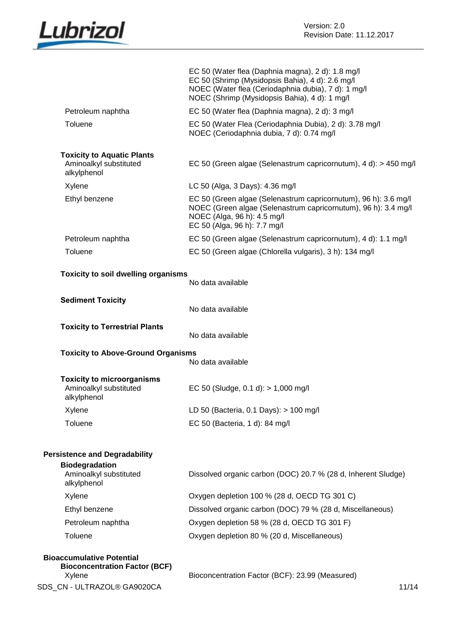

|                                                                                         | EC 50 (Water flea (Daphnia magna), 2 d): 1.8 mg/l<br>EC 50 (Shrimp (Mysidopsis Bahia), 4 d): 2.6 mg/l<br>NOEC (Water flea (Ceriodaphnia dubia), 7 d): 1 mg/l<br>NOEC (Shrimp (Mysidopsis Bahia), 4 d): 1 mg/l |
|-----------------------------------------------------------------------------------------|---------------------------------------------------------------------------------------------------------------------------------------------------------------------------------------------------------------|
| Petroleum naphtha                                                                       | EC 50 (Water flea (Daphnia magna), 2 d): 3 mg/l                                                                                                                                                               |
| Toluene                                                                                 | EC 50 (Water Flea (Ceriodaphnia Dubia), 2 d): 3.78 mg/l<br>NOEC (Ceriodaphnia dubia, 7 d): 0.74 mg/l                                                                                                          |
| <b>Toxicity to Aquatic Plants</b><br>Aminoalkyl substituted<br>alkylphenol              | EC 50 (Green algae (Selenastrum capricornutum), 4 d): > 450 mg/l                                                                                                                                              |
| Xylene                                                                                  | LC 50 (Alga, 3 Days): 4.36 mg/l                                                                                                                                                                               |
| Ethyl benzene                                                                           | EC 50 (Green algae (Selenastrum capricornutum), 96 h): 3.6 mg/l<br>NOEC (Green algae (Selenastrum capricornutum), 96 h): 3.4 mg/l<br>NOEC (Alga, 96 h): 4.5 mg/l<br>EC 50 (Alga, 96 h): 7.7 mg/l              |
| Petroleum naphtha                                                                       | EC 50 (Green algae (Selenastrum capricornutum), 4 d): 1.1 mg/l                                                                                                                                                |
| Toluene                                                                                 | EC 50 (Green algae (Chlorella vulgaris), 3 h): 134 mg/l                                                                                                                                                       |
| <b>Toxicity to soil dwelling organisms</b>                                              | No data available                                                                                                                                                                                             |
| <b>Sediment Toxicity</b>                                                                | No data available                                                                                                                                                                                             |
| <b>Toxicity to Terrestrial Plants</b>                                                   | No data available                                                                                                                                                                                             |
| <b>Toxicity to Above-Ground Organisms</b>                                               | No data available                                                                                                                                                                                             |
| <b>Toxicity to microorganisms</b><br>Aminoalkyl substituted<br>alkylphenol              | EC 50 (Sludge, 0.1 d): > 1,000 mg/l                                                                                                                                                                           |
| Xylene                                                                                  | LD 50 (Bacteria, 0.1 Days): > 100 mg/l                                                                                                                                                                        |
| Toluene                                                                                 | EC 50 (Bacteria, 1 d): 84 mg/l                                                                                                                                                                                |
| <b>Persistence and Degradability</b><br><b>Biodegradation</b><br>Aminoalkyl substituted | Dissolved organic carbon (DOC) 20.7 % (28 d, Inherent Sludge)                                                                                                                                                 |
| alkylphenol                                                                             |                                                                                                                                                                                                               |
| Xylene                                                                                  | Oxygen depletion 100 % (28 d, OECD TG 301 C)                                                                                                                                                                  |
| Ethyl benzene                                                                           | Dissolved organic carbon (DOC) 79 % (28 d, Miscellaneous)                                                                                                                                                     |
| Petroleum naphtha                                                                       | Oxygen depletion 58 % (28 d, OECD TG 301 F)                                                                                                                                                                   |
| Toluene                                                                                 | Oxygen depletion 80 % (20 d, Miscellaneous)                                                                                                                                                                   |
| <b>Bioaccumulative Potential</b><br><b>Bioconcentration Factor (BCF)</b><br>Xylene      | Bioconcentration Factor (BCF): 23.99 (Measured)                                                                                                                                                               |
| SDS_CN - ULTRAZOL® GA9020CA                                                             | 11/14                                                                                                                                                                                                         |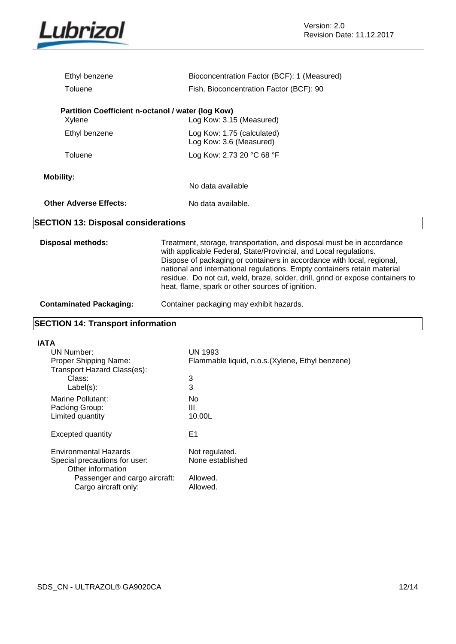

| Ethyl benzene                                               | Bioconcentration Factor (BCF): 1 (Measured)           |
|-------------------------------------------------------------|-------------------------------------------------------|
| Toluene                                                     | Fish, Bioconcentration Factor (BCF): 90               |
| Partition Coefficient n-octanol / water (log Kow)<br>Xylene | Log Kow: 3.15 (Measured)                              |
| Ethyl benzene                                               | Log Kow: 1.75 (calculated)<br>Log Kow: 3.6 (Measured) |
| Toluene                                                     | Log Kow: 2.73 20 °C 68 °F                             |
| <b>Mobility:</b>                                            | No data available                                     |
| <b>Other Adverse Effects:</b>                               | No data available.                                    |
| <b>SECTION 13: Disposal considerations</b>                  |                                                       |
|                                                             |                                                       |

**Disposal methods:** Treatment, storage, transportation, and disposal must be in accordance with applicable Federal, State/Provincial, and Local regulations. Dispose of packaging or containers in accordance with local, regional, national and international regulations. Empty containers retain material residue. Do not cut, weld, braze, solder, drill, grind or expose containers to heat, flame, spark or other sources of ignition.

### **Contaminated Packaging:** Container packaging may exhibit hazards.

### **SECTION 14: Transport information**

| <b>IATA</b>                                          |                                                  |
|------------------------------------------------------|--------------------------------------------------|
| UN Number:                                           | UN 1993                                          |
| Proper Shipping Name:<br>Transport Hazard Class(es): | Flammable liquid, n.o.s. (Xylene, Ethyl benzene) |
| Class:                                               | 3                                                |
| $Label(s)$ :                                         | 3                                                |
| Marine Pollutant:                                    | No.                                              |
| Packing Group:                                       | Ш                                                |
| Limited quantity                                     | 10.00L                                           |
| Excepted quantity                                    | E1                                               |
| Environmental Hazards                                | Not regulated.                                   |
| Special precautions for user:<br>Other information   | None established                                 |
| Passenger and cargo aircraft:                        | Allowed.                                         |
| Cargo aircraft only:                                 | Allowed.                                         |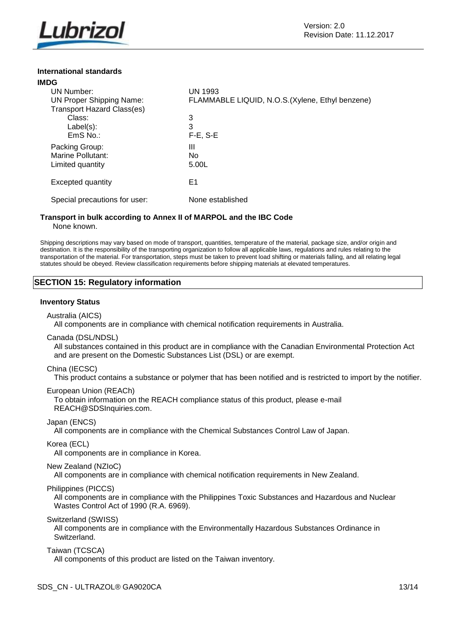

### **International standards**

| <b>IMDG</b> |                                   |                                                  |
|-------------|-----------------------------------|--------------------------------------------------|
|             | UN Number:                        | <b>UN 1993</b>                                   |
|             | <b>UN Proper Shipping Name:</b>   | FLAMMABLE LIQUID, N.O.S. (Xylene, Ethyl benzene) |
|             | <b>Transport Hazard Class(es)</b> |                                                  |
|             | Class:                            | 3                                                |
|             | $Label(s)$ :                      | 3                                                |
|             | $EmS$ No.:                        | $F-E. S-E$                                       |
|             | Packing Group:                    | Ш                                                |
|             | Marine Pollutant:                 | N <sub>0</sub>                                   |
|             | Limited quantity                  | 5.00L                                            |
|             |                                   |                                                  |
|             | Excepted quantity                 | E1                                               |
|             |                                   |                                                  |
|             | Special precautions for user:     | None established                                 |
|             |                                   |                                                  |

### **Transport in bulk according to Annex II of MARPOL and the IBC Code** None known.

Shipping descriptions may vary based on mode of transport, quantities, temperature of the material, package size, and/or origin and destination. It is the responsibility of the transporting organization to follow all applicable laws, regulations and rules relating to the transportation of the material. For transportation, steps must be taken to prevent load shifting or materials falling, and all relating legal statutes should be obeyed. Review classification requirements before shipping materials at elevated temperatures.

### **SECTION 15: Regulatory information**

### **Inventory Status**

Australia (AICS)

All components are in compliance with chemical notification requirements in Australia.

Canada (DSL/NDSL)

All substances contained in this product are in compliance with the Canadian Environmental Protection Act and are present on the Domestic Substances List (DSL) or are exempt.

### China (IECSC)

This product contains a substance or polymer that has been notified and is restricted to import by the notifier.

### European Union (REACh)

To obtain information on the REACH compliance status of this product, please e-mail REACH@SDSInquiries.com.

Japan (ENCS)

All components are in compliance with the Chemical Substances Control Law of Japan.

Korea (ECL)

All components are in compliance in Korea.

New Zealand (NZIoC)

All components are in compliance with chemical notification requirements in New Zealand.

Philippines (PICCS)

All components are in compliance with the Philippines Toxic Substances and Hazardous and Nuclear Wastes Control Act of 1990 (R.A. 6969).

Switzerland (SWISS)

All components are in compliance with the Environmentally Hazardous Substances Ordinance in Switzerland.

Taiwan (TCSCA)

All components of this product are listed on the Taiwan inventory.